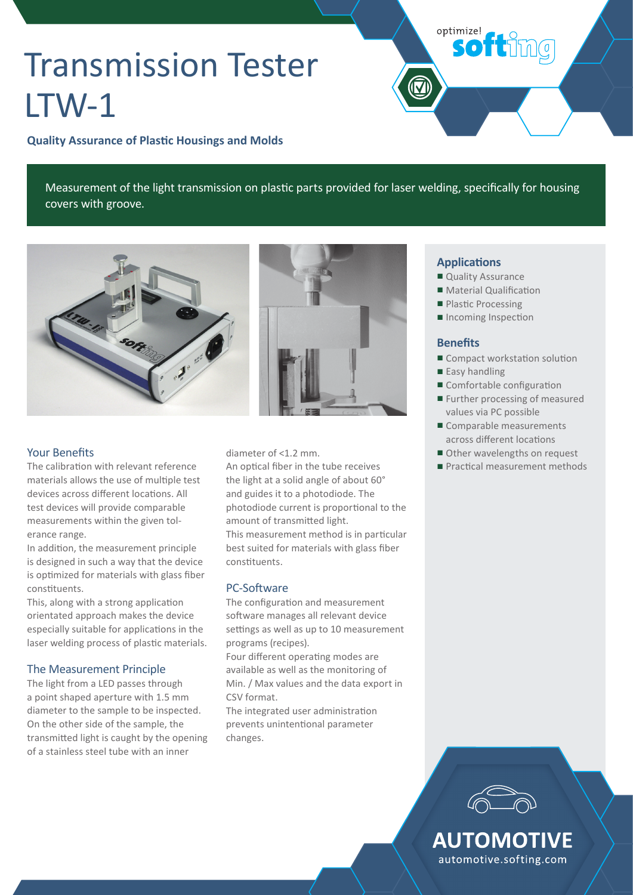# Transmission Tester LTW-1

**Quality Assurance of Plastic Housings and Molds** 

Measurement of the light transmission on plastic parts provided for laser welding, specifically for housing covers with groove.



## **Your Benefits**

The calibration with relevant reference materials allows the use of multiple test devices across different locations. All test devices will provide comparable measurements within the given tolerance range.

In addition, the measurement principle is designed in such a way that the device is optimized for materials with glass fiber constituents.

This, along with a strong application orientated approach makes the device especially suitable for applications in the laser welding process of plastic materials.

### The Measurement Principle

The light from a LED passes through a point shaped aperture with 1.5 mm diameter to the sample to be inspected. On the other side of the sample, the transmitted light is caught by the opening of a stainless steel tube with an inner



diameter of <1.2 mm.

An optical fiber in the tube receives the light at a solid angle of about 60° and guides it to a photodiode. The photodiode current is proportional to the amount of transmitted light. This measurement method is in particular best suited for materials with glass fiber constituents.

### PC-Software

The configuration and measurement soft ware manages all relevant device settings as well as up to 10 measurement programs (recipes).

Four different operating modes are available as well as the monitoring of Min. / Max values and the data export in CSV format.

The integrated user administration prevents unintentional parameter changes.

#### **Applications**

optimize!

**softimg** 

- Quality Assurance
- Material Qualification
- Plastic Processing
- Incoming Inspection

### **Benefits**

- Compact workstation solution
- Easy handling
- $\blacksquare$  Comfortable configuration
- Further processing of measured values via PC possible
- Comparable measurements across different locations
- Other wavelengths on request
- Practical measurement methods



**AUTOMOTIVE** automotive.softing.com